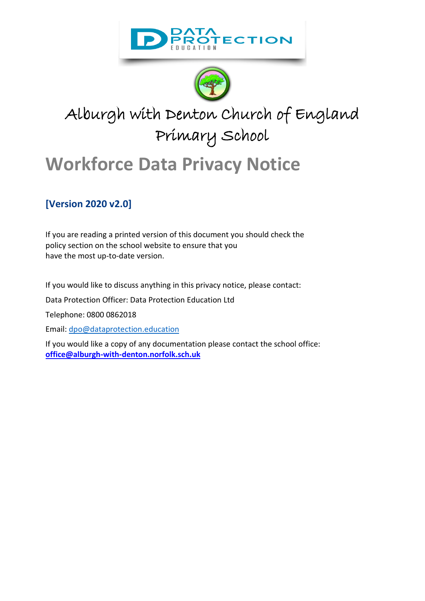



# Alburgh with Denton Church of England Primary School

# **Workforce Data Privacy Notice**

### **[Version 2020 v2.0]**

If you are reading a printed version of this document you should check the policy section on the school website to ensure that you have the most up-to-date version.

If you would like to discuss anything in this privacy notice, please contact:

Data Protection Officer: Data Protection Education Ltd

Telephone: 0800 0862018

Email: [dpo@dataprotection.education](mailto:dpo@dataprotection.education)

If you would like a copy of any documentation please contact the school office: **[office@alburgh-with-denton.norfolk.sch.uk](mailto:office@alburgh-with-denton.norfolk.sch.uk)**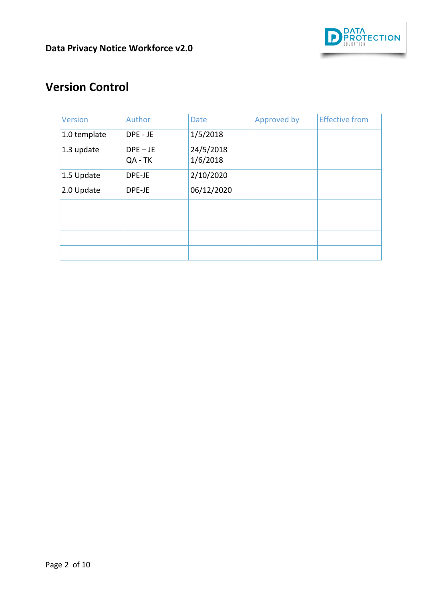

# **Version Control**

| Version      | Author                | <b>Date</b>           | Approved by | <b>Effective from</b> |
|--------------|-----------------------|-----------------------|-------------|-----------------------|
| 1.0 template | DPE - JE              | 1/5/2018              |             |                       |
| 1.3 update   | $DPE - JE$<br>QA - TK | 24/5/2018<br>1/6/2018 |             |                       |
| 1.5 Update   | DPE-JE                | 2/10/2020             |             |                       |
| 2.0 Update   | DPE-JE                | 06/12/2020            |             |                       |
|              |                       |                       |             |                       |
|              |                       |                       |             |                       |
|              |                       |                       |             |                       |
|              |                       |                       |             |                       |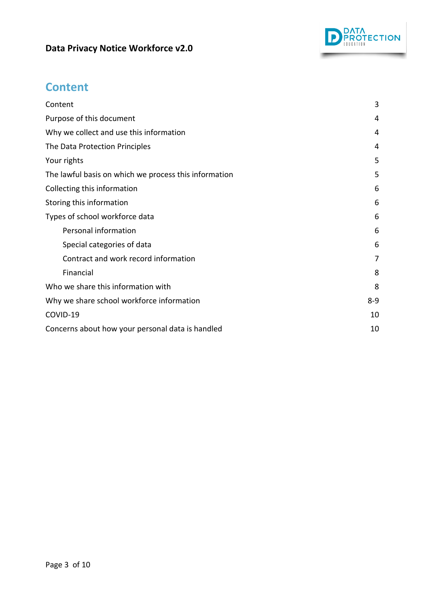

# <span id="page-2-0"></span>**Content**

| Content                                               | 3       |
|-------------------------------------------------------|---------|
| Purpose of this document                              | 4       |
| Why we collect and use this information               | 4       |
| The Data Protection Principles                        | 4       |
| Your rights                                           | 5       |
| The lawful basis on which we process this information | 5       |
| Collecting this information                           | 6       |
| Storing this information                              | 6       |
| Types of school workforce data                        | 6       |
| Personal information                                  | 6       |
| Special categories of data                            | 6       |
| Contract and work record information                  | 7       |
| Financial                                             | 8       |
| Who we share this information with                    | 8       |
| Why we share school workforce information             | $8 - 9$ |
| COVID-19                                              | 10      |
| Concerns about how your personal data is handled      | 10      |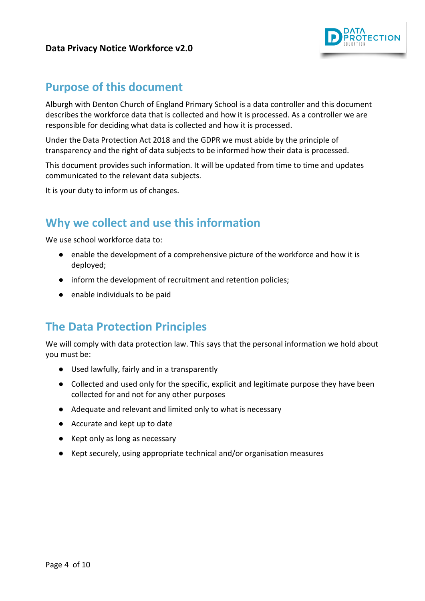

### <span id="page-3-0"></span>**Purpose of this document**

Alburgh with Denton Church of England Primary School is a data controller and this document describes the workforce data that is collected and how it is processed. As a controller we are responsible for deciding what data is collected and how it is processed.

Under the Data Protection Act 2018 and the GDPR we must abide by the principle of transparency and the right of data subjects to be informed how their data is processed.

This document provides such information. It will be updated from time to time and updates communicated to the relevant data subjects.

It is your duty to inform us of changes.

# <span id="page-3-1"></span>**Why we collect and use this information**

We use school workforce data to:

- enable the development of a comprehensive picture of the workforce and how it is deployed;
- inform the development of recruitment and retention policies;
- enable individuals to be paid

# <span id="page-3-2"></span>**The Data Protection Principles**

We will comply with data protection law. This says that the personal information we hold about you must be:

- Used lawfully, fairly and in a transparently
- Collected and used only for the specific, explicit and legitimate purpose they have been collected for and not for any other purposes
- Adequate and relevant and limited only to what is necessary
- Accurate and kept up to date
- Kept only as long as necessary
- Kept securely, using appropriate technical and/or organisation measures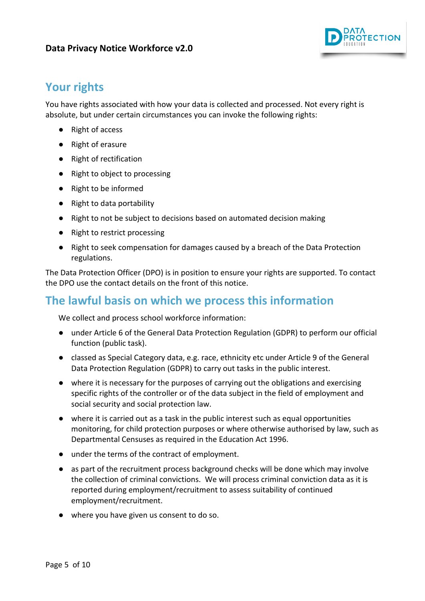

# <span id="page-4-0"></span>**Your rights**

You have rights associated with how your data is collected and processed. Not every right is absolute, but under certain circumstances you can invoke the following rights:

- Right of access
- Right of erasure
- Right of rectification
- Right to object to processing
- Right to be informed
- Right to data portability
- Right to not be subject to decisions based on automated decision making
- Right to restrict processing
- Right to seek compensation for damages caused by a breach of the Data Protection regulations.

The Data Protection Officer (DPO) is in position to ensure your rights are supported. To contact the DPO use the contact details on the front of this notice.

# <span id="page-4-1"></span>**The lawful basis on which we process this information**

We collect and process school workforce information:

- under Article 6 of the General Data Protection Regulation (GDPR) to perform our official function (public task).
- classed as Special Category data, e.g. race, ethnicity etc under Article 9 of the General Data Protection Regulation (GDPR) to carry out tasks in the public interest.
- where it is necessary for the purposes of carrying out the obligations and exercising specific rights of the controller or of the data subject in the field of employment and social security and social protection law.
- where it is carried out as a task in the public interest such as equal opportunities monitoring, for child protection purposes or where otherwise authorised by law, such as Departmental Censuses as required in the Education Act 1996.
- under the terms of the contract of employment.
- as part of the recruitment process background checks will be done which may involve the collection of criminal convictions. We will process criminal conviction data as it is reported during employment/recruitment to assess suitability of continued employment/recruitment.
- <span id="page-4-2"></span>● where you have given us consent to do so.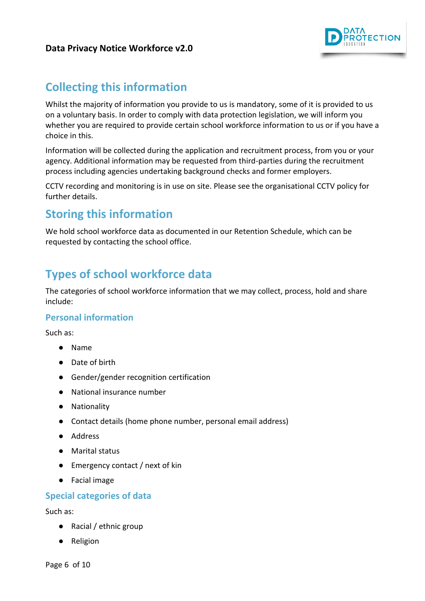

# **Collecting this information**

Whilst the majority of information you provide to us is mandatory, some of it is provided to us on a voluntary basis. In order to comply with data protection legislation, we will inform you whether you are required to provide certain school workforce information to us or if you have a choice in this.

Information will be collected during the application and recruitment process, from you or your agency. Additional information may be requested from third-parties during the recruitment process including agencies undertaking background checks and former employers.

CCTV recording and monitoring is in use on site. Please see the organisational CCTV policy for further details.

### <span id="page-5-0"></span>**Storing this information**

We hold school workforce data as documented in our Retention Schedule, which can be requested by contacting the school office.

# <span id="page-5-1"></span>**Types of school workforce data**

The categories of school workforce information that we may collect, process, hold and share include:

### <span id="page-5-2"></span>**Personal information**

Such as:

- Name
- Date of birth
- Gender/gender recognition certification
- National insurance number
- Nationality
- Contact details (home phone number, personal email address)
- Address
- Marital status
- Emergency contact / next of kin
- Facial image

#### <span id="page-5-3"></span>**Special categories of data**

Such as:

- Racial / ethnic group
- Religion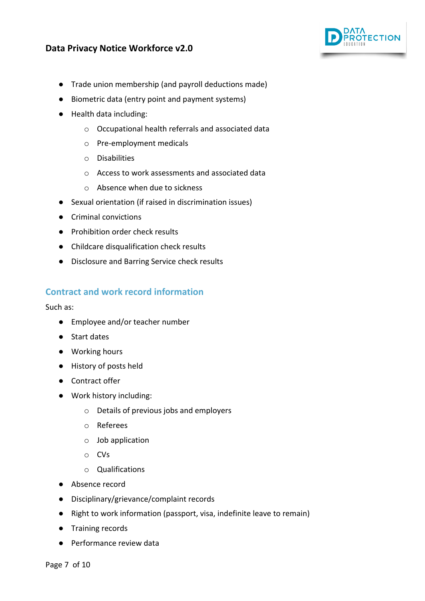

- Trade union membership (and payroll deductions made)
- Biometric data (entry point and payment systems)
- Health data including:
	- o Occupational health referrals and associated data
	- o Pre-employment medicals
	- o Disabilities
	- o Access to work assessments and associated data
	- o Absence when due to sickness
- Sexual orientation (if raised in discrimination issues)
- Criminal convictions
- Prohibition order check results
- Childcare disqualification check results
- Disclosure and Barring Service check results

#### <span id="page-6-0"></span>**Contract and work record information**

Such as:

- Employee and/or teacher number
- Start dates
- Working hours
- History of posts held
- Contract offer
- Work history including:
	- o Details of previous jobs and employers
	- o Referees
	- o Job application
	- o CVs
	- o Qualifications
- Absence record
- Disciplinary/grievance/complaint records
- Right to work information (passport, visa, indefinite leave to remain)
- Training records
- Performance review data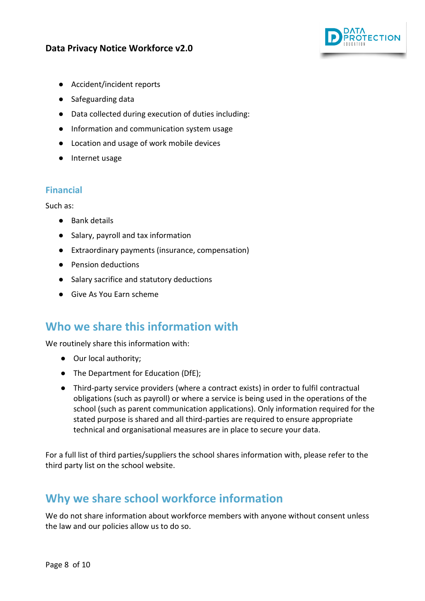

- Accident/incident reports
- Safeguarding data
- Data collected during execution of duties including:
- Information and communication system usage
- Location and usage of work mobile devices
- Internet usage

### <span id="page-7-0"></span>**Financial**

Such as:

- Bank details
- Salary, payroll and tax information
- Extraordinary payments (insurance, compensation)
- Pension deductions
- Salary sacrifice and statutory deductions
- Give As You Earn scheme

### <span id="page-7-1"></span>**Who we share this information with**

We routinely share this information with:

- Our local authority;
- The Department for Education (DfE);
- Third-party service providers (where a contract exists) in order to fulfil contractual obligations (such as payroll) or where a service is being used in the operations of the school (such as parent communication applications). Only information required for the stated purpose is shared and all third-parties are required to ensure appropriate technical and organisational measures are in place to secure your data.

For a full list of third parties/suppliers the school shares information with, please refer to the third party list on the school website.

# <span id="page-7-2"></span>**Why we share school workforce information**

We do not share information about workforce members with anyone without consent unless the law and our policies allow us to do so.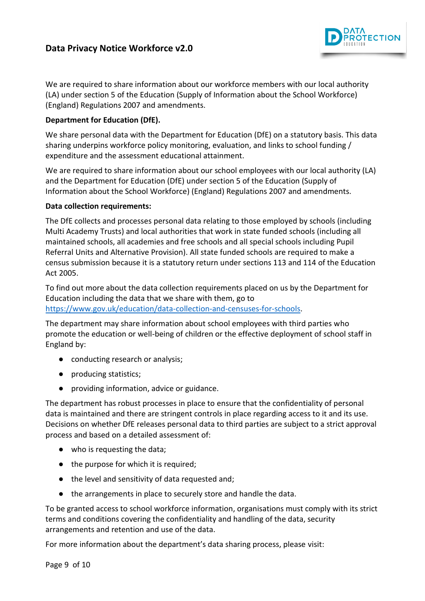

We are required to share information about our workforce members with our local authority (LA) under section 5 of the Education (Supply of Information about the School Workforce) (England) Regulations 2007 and amendments.

#### **Department for Education (DfE).**

We share personal data with the Department for Education (DfE) on a statutory basis. This data sharing underpins workforce policy monitoring, evaluation, and links to school funding / expenditure and the assessment educational attainment.

We are required to share information about our school employees with our local authority (LA) and the Department for Education (DfE) under section 5 of the Education (Supply of Information about the School Workforce) (England) Regulations 2007 and amendments.

#### **Data collection requirements:**

The DfE collects and processes personal data relating to those employed by schools (including Multi Academy Trusts) and local authorities that work in state funded schools (including all maintained schools, all academies and free schools and all special schools including Pupil Referral Units and Alternative Provision). All state funded schools are required to make a census submission because it is a statutory return under sections 113 and 114 of the Education Act 2005.

To find out more about the data collection requirements placed on us by the Department for Education including the data that we share with them, go to [https://www.gov.uk/education/data-collection-and-censuses-for-schools.](https://www.gov.uk/education/data-collection-and-censuses-for-schools)

The department may share information about school employees with third parties who promote the education or well-being of children or the effective deployment of school staff in England by:

- conducting research or analysis;
- producing statistics;
- providing information, advice or guidance.

The department has robust processes in place to ensure that the confidentiality of personal data is maintained and there are stringent controls in place regarding access to it and its use. Decisions on whether DfE releases personal data to third parties are subject to a strict approval process and based on a detailed assessment of:

- who is requesting the data;
- the purpose for which it is required;
- the level and sensitivity of data requested and;
- the arrangements in place to securely store and handle the data.

To be granted access to school workforce information, organisations must comply with its strict terms and conditions covering the confidentiality and handling of the data, security arrangements and retention and use of the data.

For more information about the department's data sharing process, please visit: